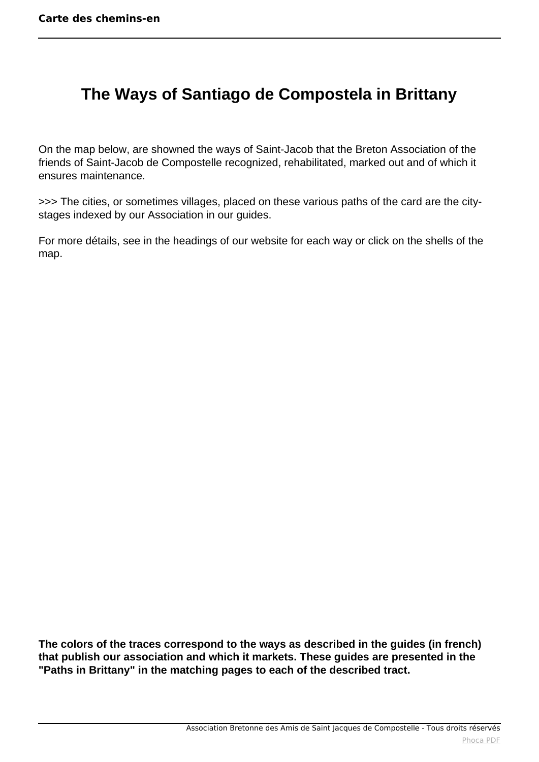## <span id="page-0-0"></span> **The Ways of Santiago de Compostela in Brittany**

On the map below, are showned the ways of Saint-Jacob that the Breton Association of the friends of Saint-Jacob de Compostelle recognized, rehabilitated, marked out and of which it ensures maintenance.

>>> The cities, or sometimes villages, placed on these various paths of the card are the citystages indexed by our Association in our guides.

For more détails, see in the headings of our website for each way or click on the shells of the map.

**The colors of the traces correspond to the ways as described in the guides (in french) that publish our association and which it markets. These guides are presented in the "Paths in Brittany" in the matching pages to each of the described tract.**